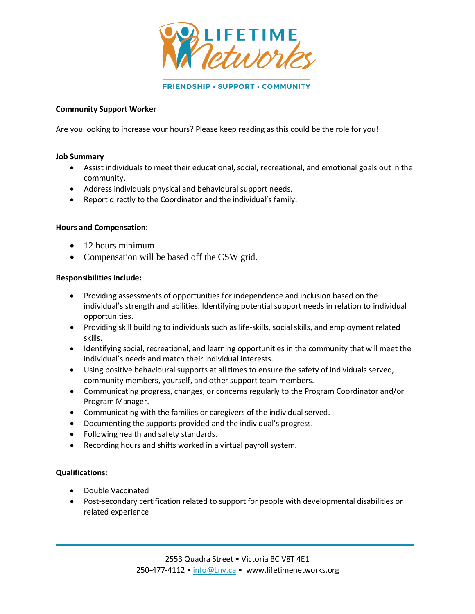

FRIENDSHIP · SUPPORT · COMMUNITY

#### **Community Support Worker**

Are you looking to increase your hours? Please keep reading as this could be the role for you!

#### **Job Summary**

- Assist individuals to meet their educational, social, recreational, and emotional goals out in the community.
- Address individuals physical and behavioural support needs.
- Report directly to the Coordinator and the individual's family.

## **Hours and Compensation:**

- 12 hours minimum
- Compensation will be based off the CSW grid.

#### **Responsibilities Include:**

- Providing assessments of opportunities for independence and inclusion based on the individual's strength and abilities. Identifying potential support needs in relation to individual opportunities.
- Providing skill building to individuals such as life-skills, social skills, and employment related skills.
- Identifying social, recreational, and learning opportunities in the community that will meet the individual's needs and match their individual interests.
- Using positive behavioural supports at all times to ensure the safety of individuals served, community members, yourself, and other support team members.
- Communicating progress, changes, or concerns regularly to the Program Coordinator and/or Program Manager.
- Communicating with the families or caregivers of the individual served.
- Documenting the supports provided and the individual's progress.
- Following health and safety standards.
- Recording hours and shifts worked in a virtual payroll system.

## **Qualifications:**

- Double Vaccinated
- Post-secondary certification related to support for people with developmental disabilities or related experience